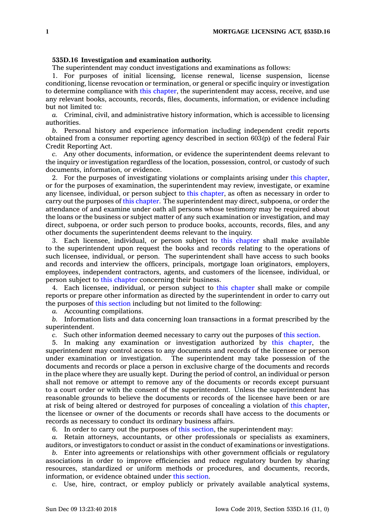## **535D.16 Investigation and examination authority.**

The superintendent may conduct investigations and examinations as follows:

1. For purposes of initial licensing, license renewal, license suspension, license conditioning, license revocation or termination, or general or specific inquiry or investigation to determine compliance with this [chapter](https://www.legis.iowa.gov/docs/code//535D.pdf), the superintendent may access, receive, and use any relevant books, accounts, records, files, documents, information, or evidence including but not limited to:

*a.* Criminal, civil, and administrative history information, which is accessible to licensing authorities.

*b.* Personal history and experience information including independent credit reports obtained from <sup>a</sup> consumer reporting agency described in section 603(p) of the federal Fair Credit Reporting Act.

*c.* Any other documents, information, or evidence the superintendent deems relevant to the inquiry or investigation regardless of the location, possession, control, or custody of such documents, information, or evidence.

2. For the purposes of investigating violations or complaints arising under this [chapter](https://www.legis.iowa.gov/docs/code//535D.pdf), or for the purposes of examination, the superintendent may review, investigate, or examine any licensee, individual, or person subject to this [chapter](https://www.legis.iowa.gov/docs/code//535D.pdf), as often as necessary in order to carry out the purposes of this [chapter](https://www.legis.iowa.gov/docs/code//535D.pdf). The superintendent may direct, subpoena, or order the attendance of and examine under oath all persons whose testimony may be required about the loans or the business or subject matter of any such examination or investigation, and may direct, subpoena, or order such person to produce books, accounts, records, files, and any other documents the superintendent deems relevant to the inquiry.

3. Each licensee, individual, or person subject to this [chapter](https://www.legis.iowa.gov/docs/code//535D.pdf) shall make available to the superintendent upon request the books and records relating to the operations of such licensee, individual, or person. The superintendent shall have access to such books and records and interview the officers, principals, mortgage loan originators, employers, employees, independent contractors, agents, and customers of the licensee, individual, or person subject to this [chapter](https://www.legis.iowa.gov/docs/code//535D.pdf) concerning their business.

4. Each licensee, individual, or person subject to this [chapter](https://www.legis.iowa.gov/docs/code//535D.pdf) shall make or compile reports or prepare other information as directed by the superintendent in order to carry out the purposes of this [section](https://www.legis.iowa.gov/docs/code/535D.16.pdf) including but not limited to the following:

*a.* Accounting compilations.

*b.* Information lists and data concerning loan transactions in <sup>a</sup> format prescribed by the superintendent.

*c.* Such other information deemed necessary to carry out the purposes of this [section](https://www.legis.iowa.gov/docs/code/535D.16.pdf).

5. In making any examination or investigation authorized by this [chapter](https://www.legis.iowa.gov/docs/code//535D.pdf), the superintendent may control access to any documents and records of the licensee or person under examination or investigation. The superintendent may take possession of the documents and records or place <sup>a</sup> person in exclusive charge of the documents and records in the place where they are usually kept. During the period of control, an individual or person shall not remove or attempt to remove any of the documents or records except pursuant to <sup>a</sup> court order or with the consent of the superintendent. Unless the superintendent has reasonable grounds to believe the documents or records of the licensee have been or are at risk of being altered or destroyed for purposes of concealing <sup>a</sup> violation of this [chapter](https://www.legis.iowa.gov/docs/code//535D.pdf), the licensee or owner of the documents or records shall have access to the documents or records as necessary to conduct its ordinary business affairs.

6. In order to carry out the purposes of this [section](https://www.legis.iowa.gov/docs/code/535D.16.pdf), the superintendent may:

*a.* Retain attorneys, accountants, or other professionals or specialists as examiners, auditors, or investigators to conduct or assist in the conduct of examinations or investigations.

*b.* Enter into agreements or relationships with other government officials or regulatory associations in order to improve efficiencies and reduce regulatory burden by sharing resources, standardized or uniform methods or procedures, and documents, records, information, or evidence obtained under this [section](https://www.legis.iowa.gov/docs/code/535D.16.pdf).

*c.* Use, hire, contract, or employ publicly or privately available analytical systems,